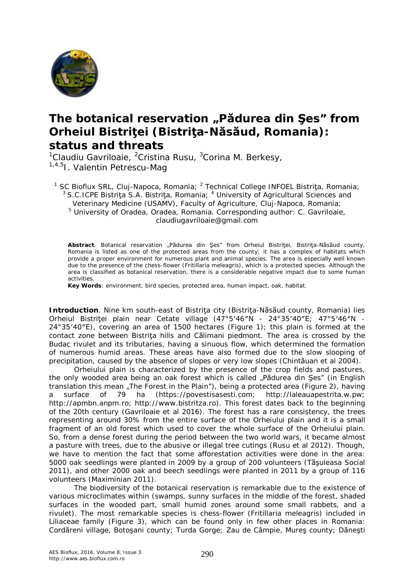

## **The botanical reservation "Pădurea din Şes" from Orheiul Bistriţei (Bistriţa-Năsăud, Romania): status and threats**

<sup>1</sup>Claudiu Gavriloaie, <sup>2</sup>Cristina Rusu, <sup>3</sup>Corina M. Berkesy, 1,4,5I. Valentin Petrescu-Mag

- <sup>1</sup> SC Bioflux SRL, Cluj-Napoca, Romania; <sup>2</sup> Technical College INFOEL Bistriţa, Romania;  $3$  S.C.ICPE Bistrita S.A. Bistrita, Romania;  $4$  University of Agricultural Sciences and
	- Veterinary Medicine (USAMV), Faculty of Agriculture, Cluj-Napoca, Romania;

<sup>5</sup> University of Oradea, Oradea, Romania. Corresponding author: C. Gavriloaie, claudiugavriloaie@gmail.com

Abstract. Botanical reservation "Pădurea din Ses" from Orheiul Bistritei, Bistrita-Năsăud county, Romania is listed as one of the protected areas from the county; it has a complex of habitats which provide a proper environment for numerous plant and animal species. The area is especially well known due to the presence of the chess-flower (*Fritillaria meleagris*), which is a protected species. Although the area is classified as botanical reservation, there is a considerable negative impact due to some human activities.

**Key Words**: environment, bird species, protected area, human impact, oak, habitat.

**Introduction**. Nine km south-east of Bistrita city (Bistrita-Năsăud county, Romania) lies Orheiul Bistriţei plain near Cetate village (47°5′46″N - 24°35′40″E; 47°5′46″N - 24°35′40″E), covering an area of 1500 hectares (Figure 1); this plain is formed at the contact zone between Bistriţa hills and Călimani piedmont. The area is crossed by the Budac rivulet and its tributaries, having a sinuous flow, which determined the formation of numerous humid areas. These areas have also formed due to the slow slooping of precipitation, caused by the absence of slopes or very low slopes (Chintăuan et al 2004).

Orheiului plain is characterized by the presence of the crop fields and pastures, the only wooded area being an oak forest which is called "Pădurea din Şes" (in English translation this mean "The Forest in the Plain"), being a protected area (Figure 2), having a surface of 79 ha (https://povestisasesti.com; http://laleauapestrita.w.pw; http://apmbn.anpm.ro; http://www.bistritza.ro). This forest dates back to the beginning of the 20th century (Gavriloaie et al 2016). The forest has a rare consistency, the trees representing around 30% from the entire surface of the Orheiului plain and it is a small fragment of an old forest which used to cover the whole surface of the Orheiului plain. So, from a dense forest during the period between the two world wars, it became almost a pasture with trees, due to the abusive or illegal tree cutings (Rusu et al 2012). Though, we have to mention the fact that some afforestation activities were done in the area: 5000 oak seedlings were planted in 2009 by a group of 200 volunteers (Tăşuleasa Social 2011), and other 2000 oak and beech seedlings were planted in 2011 by a group of 116 volunteers (Maximinian 2011).

The biodiversity of the botanical reservation is remarkable due to the existence of various microclimates within (swamps, sunny surfaces in the middle of the forest, shaded surfaces in the wooded part, small humid zones around some small rabbets, and a rivulet). The most remarkable species is chess-flower (*Fritillaria meleagris*) included in Liliaceae family (Figure 3), which can be found only in few other places in Romania: Cordăreni village, Botoşani county; Turda Gorge; Zau de Câmpie, Mureş county; Dăneşti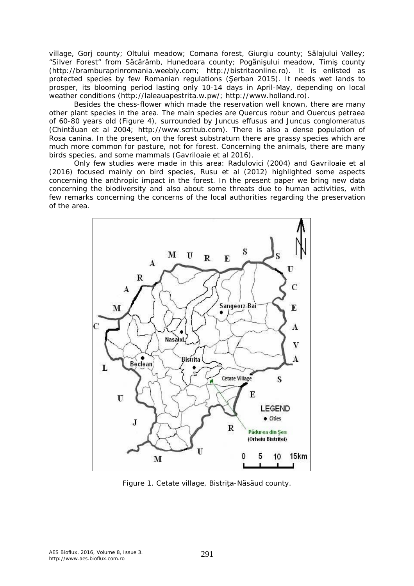village, Gorj county; Oltului meadow; Comana forest, Giurgiu county; Sălajului Valley; "Silver Forest" from Săcărâmb, Hunedoara county; Pogănişului meadow, Timiş county (http://bramburaprinromania.weebly.com; http://bistritaonline.ro). It is enlisted as protected species by few Romanian regulations (Şerban 2015). It needs wet lands to prosper, its blooming period lasting only 10-14 days in April-May, depending on local weather conditions (http://laleauapestrita.w.pw/; http://www.holland.ro).

Besides the chess-flower which made the reservation well known, there are many other plant species in the area. The main species are *Quercus robur* and *Ouercus petraea* of 60-80 years old (Figure 4), surrounded by *Juncus effusus* and *Juncus conglomeratus* (Chintăuan et al 2004; http://www.scritub.com). There is also a dense population of *Rosa canina*. In the present, on the forest substratum there are grassy species which are much more common for pasture, not for forest. Concerning the animals, there are many birds species, and some mammals (Gavriloaie et al 2016).

Only few studies were made in this area: Radulovici (2004) and Gavriloaie et al (2016) focused mainly on bird species, Rusu et al (2012) highlighted some aspects concerning the anthropic impact in the forest. In the present paper we bring new data concerning the biodiversity and also about some threats due to human activities, with few remarks concerning the concerns of the local authorities regarding the preservation of the area.



Figure 1. Cetate village, Bistriţa-Năsăud county.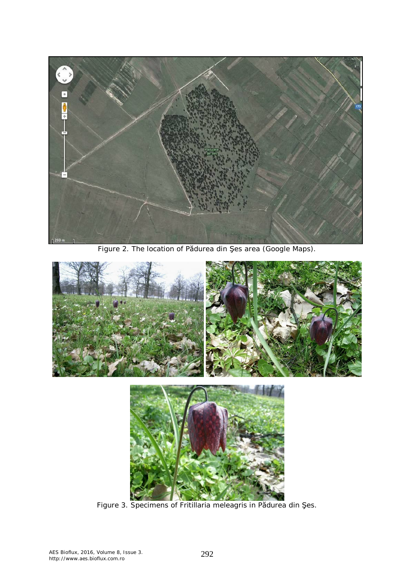

Figure 2. The location of Pădurea din Şes area (Google Maps).





Figure 3. Specimens of *Fritillaria meleagris* in Pădurea din Şes.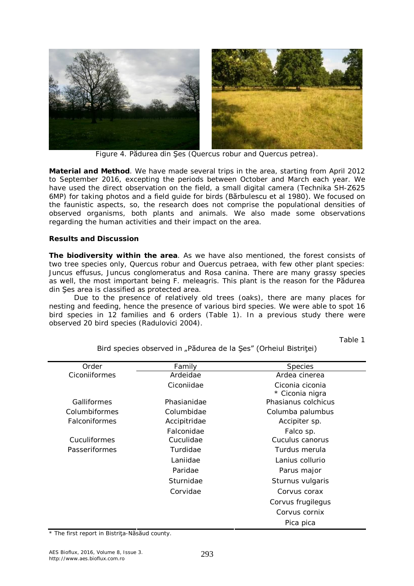

Figure 4. Pădurea din Şes (*Quercus robur* and *Quercus petrea*).

**Material and Method**. We have made several trips in the area, starting from April 2012 to September 2016, excepting the periods between October and March each year. We have used the direct observation on the field, a small digital camera (Technika SH-Z625 6MP) for taking photos and a field guide for birds (Bărbulescu et al 1980). We focused on the faunistic aspects, so, the research does not comprise the populational densities of observed organisms, both plants and animals. We also made some observations regarding the human activities and their impact on the area.

## **Results and Discussion**

*The biodiversity within the area.* As we have also mentioned, the forest consists of two tree species only, *Quercus robur* and *Ouercus petraea*, with few other plant species: *Juncus effusus, Juncus conglomeratus* and *Rosa canina*. There are many grassy species as well, the most important being *F. meleagris*. This plant is the reason for the Pădurea din Şes area is classified as protected area.

Due to the presence of relatively old trees (oaks), there are many places for nesting and feeding, hence the presence of various bird species. We were able to spot 16 bird species in 12 families and 6 orders (Table 1). In a previous study there were observed 20 bird species (Radulovici 2004).

Table 1

| Order         | Family       | <b>Species</b>                     |
|---------------|--------------|------------------------------------|
| Ciconiiformes | Ardeidae     | Ardea cinerea                      |
|               | Ciconiidae   | Ciconia ciconia<br>* Ciconia nigra |
| Galliformes   | Phasianidae  | Phasianus colchicus                |
| Columbiformes | Columbidae   | Columba palumbus                   |
| Falconiformes | Accipitridae | Accipiter sp.                      |
|               | Falconidae   | Falco sp.                          |
| Cuculiformes  | Cuculidae    | Cuculus canorus                    |
| Passeriformes | Turdidae     | Turdus merula                      |
|               | Laniidae     | Lanius collurio                    |
|               | Paridae      | Parus major                        |
|               | Sturnidae    | Sturnus vulgaris                   |
|               | Corvidae     | Corvus corax                       |
|               |              | Corvus frugilegus                  |
|               |              | Corvus cornix                      |
|               |              | Pica pica                          |

Bird species observed in "Pădurea de la Şes" (Orheiul Bistriței)

\* The first report in Bistriţa-Năsăud county.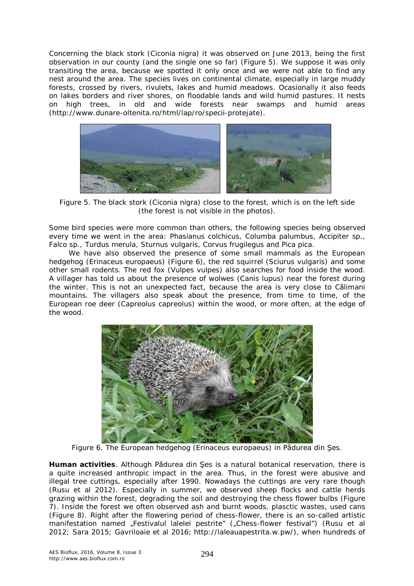Concerning the black stork (*Ciconia nigra*) it was observed on June 2013, being the first observation in our county (and the single one so far) (Figure 5). We suppose it was only transiting the area, because we spotted it only once and we were not able to find any nest around the area. The species lives on continental climate, especially in large muddy forests, crossed by rivers, rivulets, lakes and humid meadows. Ocasionally it also feeds on lakes borders and river shores, on floodable lands and wild humid pastures. It nests on high trees, in old and wide forests near swamps and humid areas (http://www.dunare-oltenita.ro/html/lap/ro/specii-protejate).



Figure 5. The black stork (*Ciconia nigra*) close to the forest, which is on the left side (the forest is not visible in the photos).

Some bird species were more common than others, the following species being observed every time we went in the area: *Phasianus colchicus, Columba palumbus*, *Accipiter* sp., *Falco* sp., *Turdus merula*, *Sturnus vulgaris*, *Corvus frugilegus* and *Pica pica*.

We have also observed the presence of some small mammals as the European hedgehog (*Erinaceus europaeus*) (Figure 6), the red squirrel (*Sciurus vulgaris*) and some other small rodents. The red fox (*Vulpes vulpes*) also searches for food inside the wood. A villager has told us about the presence of wolwes (*Canis lupus*) near the forest during the winter. This is not an unexpected fact, because the area is very close to Călimani mountains. The villagers also speak about the presence, from time to time, of the European roe deer (*Capreolus capreolus*) within the wood, or more often, at the edge of the wood.



Figure 6. The European hedgehog (*Erinaceus europaeus*) in Pădurea din Şes.

*Human activities.* Although Pădurea din Şes is a natural botanical reservation, there is a quite increased anthropic impact in the area. Thus, in the forest were abusive and illegal tree cuttings, especially after 1990. Nowadays the cuttings are very rare though (Rusu et al 2012). Especially in summer, we observed sheep flocks and cattle herds grazing within the forest, degrading the soil and destroying the chess flower bulbs (Figure 7). Inside the forest we often observed ash and burnt woods, plasctic wastes, used cans (Figure 8). Right after the flowering period of chess-flower, there is an so-called artistic manifestation named "Festivalul lalelei pestrite" ("Chess-flower festival") (Rusu et al 2012; Sara 2015; Gavriloaie et al 2016; http://laleauapestrita.w.pw/), when hundreds of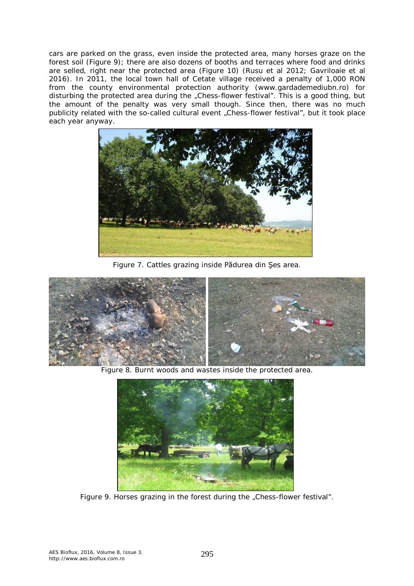cars are parked on the grass, even inside the protected area, many horses graze on the forest soil (Figure 9); there are also dozens of booths and terraces where food and drinks are selled, right near the protected area (Figure 10) (Rusu et al 2012; Gavriloaie et al 2016). In 2011, the local town hall of Cetate village received a penalty of 1,000 RON from the county environmental protection authority (www.gardademediubn.ro) for disturbing the protected area during the "Chess-flower festival". This is a good thing, but the amount of the penalty was very small though. Since then, there was no much publicity related with the so-called cultural event "Chess-flower festival", but it took place each year anyway.



Figure 7. Cattles grazing inside Pădurea din Şes area.



Figure 8. Burnt woods and wastes inside the protected area.



Figure 9. Horses grazing in the forest during the "Chess-flower festival".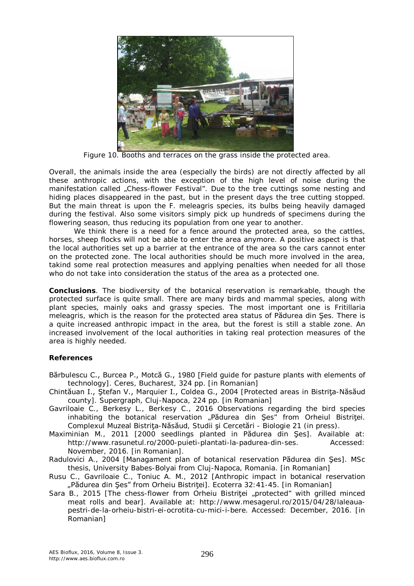

Figure 10. Booths and terraces on the grass inside the protected area.

Overall, the animals inside the area (especially the birds) are not directly affected by all these anthropic actions, with the exception of the high level of noise during the manifestation called "Chess-flower Festival". Due to the tree cuttings some nesting and hiding places disappeared in the past, but in the present days the tree cutting stopped. But the main threat is upon the *F. meleagris* species, its bulbs being heavily damaged during the festival. Also some visitors simply pick up hundreds of specimens during the flowering season, thus reducing its population from one year to another.

We think there is a need for a fence around the protected area, so the cattles, horses, sheep flocks will not be able to enter the area anymore. A positive aspect is that the local authorities set up a barrier at the entrance of the area so the cars cannot enter on the protected zone. The local authorities should be much more involved in the area, takind some real protection measures and applying penalties when needed for all those who do not take into consideration the status of the area as a protected one.

**Conclusions**. The biodiversity of the botanical reservation is remarkable, though the protected surface is quite small. There are many birds and mammal species, along with plant species, mainly oaks and grassy species. The most important one is *Fritillaria meleagris*, which is the reason for the protected area status of Pădurea din Şes. There is a quite increased anthropic impact in the area, but the forest is still a stable zone. An increased involvement of the local authorities in taking real protection measures of the area is highly needed.

## **References**

- Bărbulescu C., Burcea P., Motcă G., 1980 [Field guide for pasture plants with elements of technology]. Ceres, Bucharest, 324 pp. [in Romanian]
- Chintăuan I., Ştefan V., Marquier I., Coldea G., 2004 [Protected areas in Bistriţa-Năsăud county]. Supergraph, Cluj-Napoca, 224 pp. [in Romanian]
- Gavriloaie C., Berkesy L., Berkesy C., 2016 Observations regarding the bird species inhabiting the botanical reservation "Pădurea din Şes" from Orheiul Bistriței. Complexul Muzeal Bistriţa-Năsăud, Studii şi Cercetări - Biologie 21 (in press).
- Maximinian M., 2011 [2000 seedlings planted in Pădurea din Şes]. Available at: http://www.rasunetul.ro/2000-puieti-plantati-la-padurea-din-ses. Accessed: November, 2016. [in Romanian].
- Radulovici A., 2004 [Managament plan of botanical reservation Pădurea din Şes]. MSc thesis, University Babes-Bolyai from Cluj-Napoca, Romania. [in Romanian]
- Rusu C., Gavriloaie C., Toniuc A. M., 2012 [Anthropic impact in botanical reservation "Pădurea din Şes" from Orheiu Bistriței]. Ecoterra 32:41-45. [in Romanian]
- Sara B., 2015 [The chess-flower from Orheiu Bistritei "protected" with grilled minced meat rolls and bear]. Available at: http://www.mesagerul.ro/2015/04/28/laleauapestri-de-la-orheiu-bistri-ei-ocrotita-cu-mici-i-bere. Accessed: December, 2016. [in Romanian]